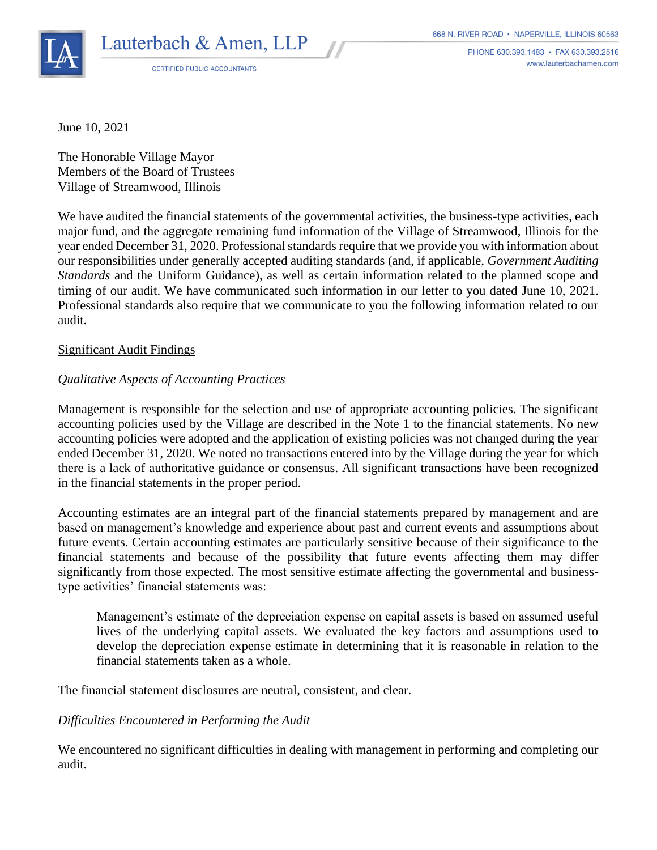

**CERTIFIED PUBLIC ACCOUNTANTS** 

PHONE 630.393.1483 · FAX 630.393.2516 www.lauterbachamen.com

June 10, 2021

The Honorable Village Mayor Members of the Board of Trustees Village of Streamwood, Illinois

We have audited the financial statements of the governmental activities, the business-type activities, each major fund, and the aggregate remaining fund information of the Village of Streamwood, Illinois for the year ended December 31, 2020. Professional standards require that we provide you with information about our responsibilities under generally accepted auditing standards (and, if applicable, *Government Auditing Standards* and the Uniform Guidance), as well as certain information related to the planned scope and timing of our audit. We have communicated such information in our letter to you dated June 10, 2021. Professional standards also require that we communicate to you the following information related to our audit.

# Significant Audit Findings

# *Qualitative Aspects of Accounting Practices*

Management is responsible for the selection and use of appropriate accounting policies. The significant accounting policies used by the Village are described in the Note 1 to the financial statements. No new accounting policies were adopted and the application of existing policies was not changed during the year ended December 31, 2020. We noted no transactions entered into by the Village during the year for which there is a lack of authoritative guidance or consensus. All significant transactions have been recognized in the financial statements in the proper period.

Accounting estimates are an integral part of the financial statements prepared by management and are based on management's knowledge and experience about past and current events and assumptions about future events. Certain accounting estimates are particularly sensitive because of their significance to the financial statements and because of the possibility that future events affecting them may differ significantly from those expected. The most sensitive estimate affecting the governmental and businesstype activities' financial statements was:

Management's estimate of the depreciation expense on capital assets is based on assumed useful lives of the underlying capital assets. We evaluated the key factors and assumptions used to develop the depreciation expense estimate in determining that it is reasonable in relation to the financial statements taken as a whole.

The financial statement disclosures are neutral, consistent, and clear.

# *Difficulties Encountered in Performing the Audit*

We encountered no significant difficulties in dealing with management in performing and completing our audit.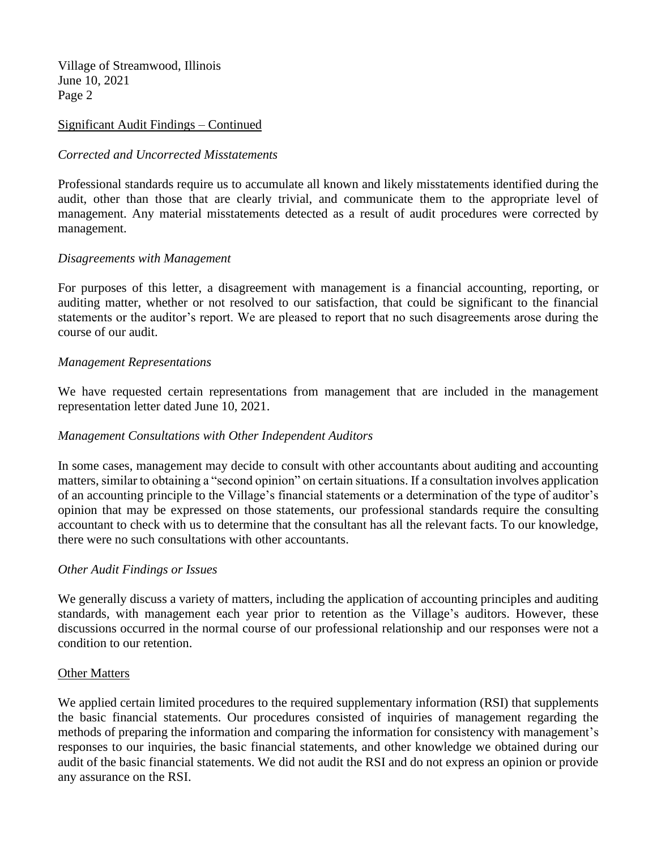Village of Streamwood, Illinois June 10, 2021 Page 2

## Significant Audit Findings – Continued

### *Corrected and Uncorrected Misstatements*

Professional standards require us to accumulate all known and likely misstatements identified during the audit, other than those that are clearly trivial, and communicate them to the appropriate level of management. Any material misstatements detected as a result of audit procedures were corrected by management.

#### *Disagreements with Management*

For purposes of this letter, a disagreement with management is a financial accounting, reporting, or auditing matter, whether or not resolved to our satisfaction, that could be significant to the financial statements or the auditor's report. We are pleased to report that no such disagreements arose during the course of our audit.

#### *Management Representations*

We have requested certain representations from management that are included in the management representation letter dated June 10, 2021.

# *Management Consultations with Other Independent Auditors*

In some cases, management may decide to consult with other accountants about auditing and accounting matters, similar to obtaining a "second opinion" on certain situations. If a consultation involves application of an accounting principle to the Village's financial statements or a determination of the type of auditor's opinion that may be expressed on those statements, our professional standards require the consulting accountant to check with us to determine that the consultant has all the relevant facts. To our knowledge, there were no such consultations with other accountants.

#### *Other Audit Findings or Issues*

We generally discuss a variety of matters, including the application of accounting principles and auditing standards, with management each year prior to retention as the Village's auditors. However, these discussions occurred in the normal course of our professional relationship and our responses were not a condition to our retention.

### Other Matters

We applied certain limited procedures to the required supplementary information (RSI) that supplements the basic financial statements. Our procedures consisted of inquiries of management regarding the methods of preparing the information and comparing the information for consistency with management's responses to our inquiries, the basic financial statements, and other knowledge we obtained during our audit of the basic financial statements. We did not audit the RSI and do not express an opinion or provide any assurance on the RSI.